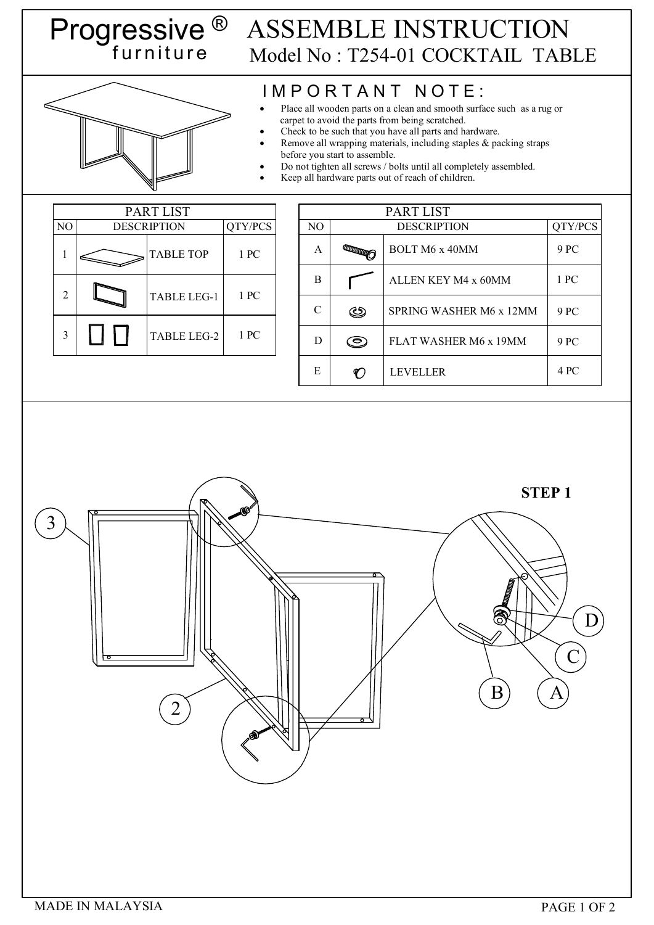## Progressive ® f u r n i t u r e ASSEMBLE INSTRUCTION Model No : T254-01 COCKTAIL TABLE

## IMPORTANT NOTE:

- Place all wooden parts on a clean and smooth surface such as a rug or carpet to avoid the parts from being scratched.
- Check to be such that you have all parts and hardware.
- Remove all wrapping materials, including staples & packing straps before you start to assemble.
- Do not tighten all screws / bolts until all completely assembled.
- Keep all hardware parts out of reach of children.

|                | <b>PART LIST</b>   |                    |         |  |  |
|----------------|--------------------|--------------------|---------|--|--|
| N <sub>O</sub> | <b>DESCRIPTION</b> |                    | QTY/PCS |  |  |
|                |                    | <b>TABLE TOP</b>   | 1 PC    |  |  |
| 2              |                    | <b>TABLE LEG-1</b> | 1 PC    |  |  |
| 3              |                    | <b>TABLE LEG-2</b> | 1 PC    |  |  |

|               | PART LIST                 |                         |         |  |  |
|---------------|---------------------------|-------------------------|---------|--|--|
| NO            | <b>DESCRIPTION</b>        |                         | QTY/PCS |  |  |
| A             | <b>CONTROLLER COMMENT</b> | <b>BOLT M6 x 40MM</b>   | 9 PC    |  |  |
| B             |                           | ALLEN KEY M4 x 60MM     | 1 PC    |  |  |
| $\mathcal{C}$ | ఆ                         | SPRING WASHER M6 x 12MM | 9 PC    |  |  |
| D             |                           | FLAT WASHER M6 x 19MM   | 9 PC    |  |  |
| E             |                           | <b>LEVELLER</b>         | 4 PC    |  |  |